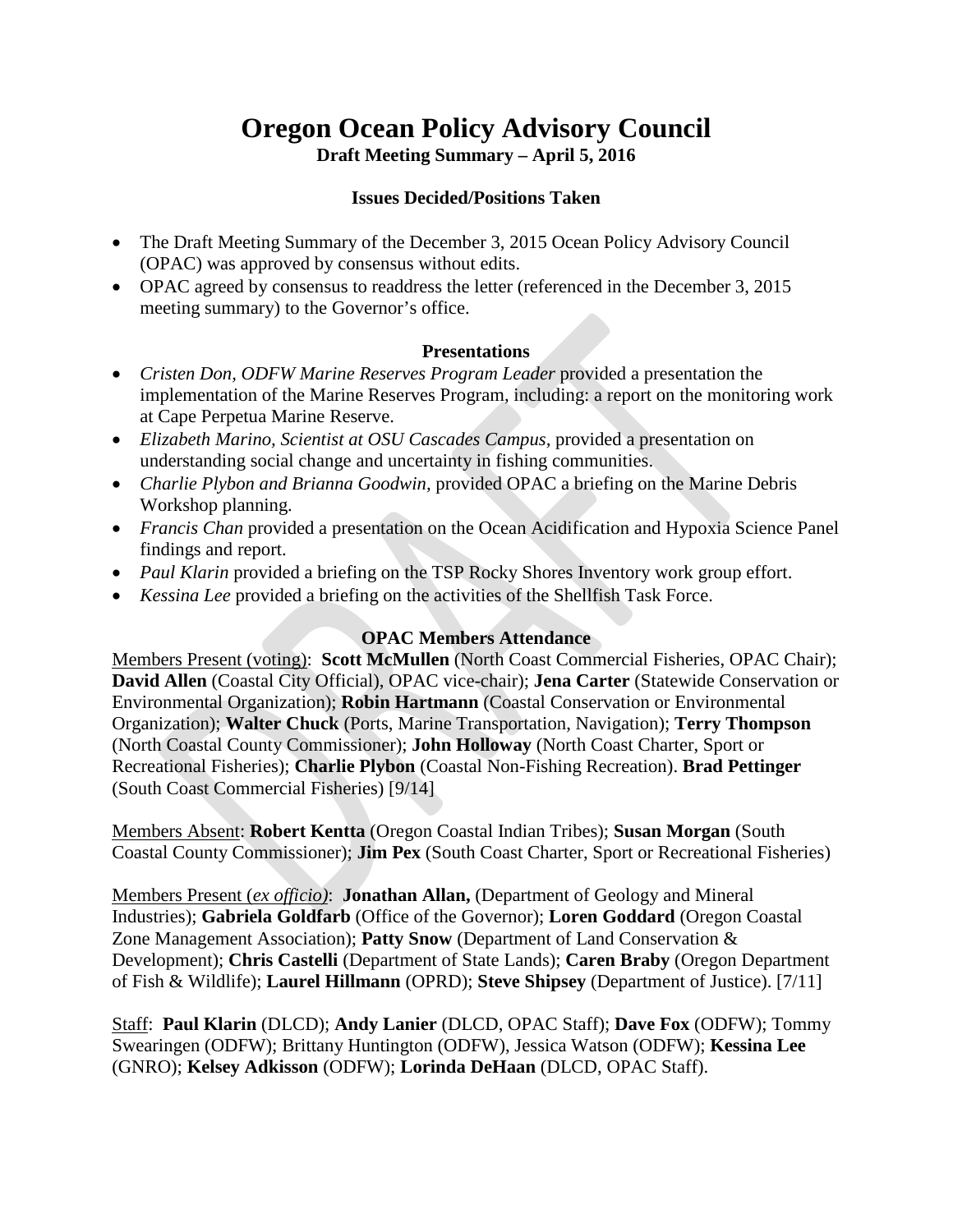# **Oregon Ocean Policy Advisory Council**

**Draft Meeting Summary – April 5, 2016**

# **Issues Decided/Positions Taken**

- The Draft Meeting Summary of the December 3, 2015 Ocean Policy Advisory Council (OPAC) was approved by consensus without edits.
- OPAC agreed by consensus to readdress the letter (referenced in the December 3, 2015) meeting summary) to the Governor's office.

## **Presentations**

- *Cristen Don, ODFW Marine Reserves Program Leader provided a presentation the* implementation of the Marine Reserves Program, including: a report on the monitoring work at Cape Perpetua Marine Reserve.
- *Elizabeth Marino, Scientist at OSU Cascades Campus,* provided a presentation on understanding social change and uncertainty in fishing communities.
- *Charlie Plybon and Brianna Goodwin,* provided OPAC a briefing on the Marine Debris Workshop planning.
- *Francis Chan* provided a presentation on the Ocean Acidification and Hypoxia Science Panel findings and report.
- *Paul Klarin* provided a briefing on the TSP Rocky Shores Inventory work group effort.
- *Kessina Lee* provided a briefing on the activities of the Shellfish Task Force.

# **OPAC Members Attendance**

Members Present (voting): **Scott McMullen** (North Coast Commercial Fisheries, OPAC Chair); **David Allen** (Coastal City Official), OPAC vice-chair); **Jena Carter** (Statewide Conservation or Environmental Organization); **Robin Hartmann** (Coastal Conservation or Environmental Organization); **Walter Chuck** (Ports, Marine Transportation, Navigation); **Terry Thompson** (North Coastal County Commissioner); **John Holloway** (North Coast Charter, Sport or Recreational Fisheries); **Charlie Plybon** (Coastal Non-Fishing Recreation). **Brad Pettinger** (South Coast Commercial Fisheries) [9/14]

Members Absent: **Robert Kentta** (Oregon Coastal Indian Tribes); **Susan Morgan** (South Coastal County Commissioner); **Jim Pex** (South Coast Charter, Sport or Recreational Fisheries)

Members Present (*ex officio)*: **Jonathan Allan,** (Department of Geology and Mineral Industries); **Gabriela Goldfarb** (Office of the Governor); **Loren Goddard** (Oregon Coastal Zone Management Association); **Patty Snow** (Department of Land Conservation & Development); **Chris Castelli** (Department of State Lands); **Caren Braby** (Oregon Department of Fish & Wildlife); **Laurel Hillmann** (OPRD); **Steve Shipsey** (Department of Justice). [7/11]

Staff: **Paul Klarin** (DLCD); **Andy Lanier** (DLCD, OPAC Staff); **Dave Fox** (ODFW); Tommy Swearingen (ODFW); Brittany Huntington (ODFW), Jessica Watson (ODFW); **Kessina Lee** (GNRO); **Kelsey Adkisson** (ODFW); **Lorinda DeHaan** (DLCD, OPAC Staff).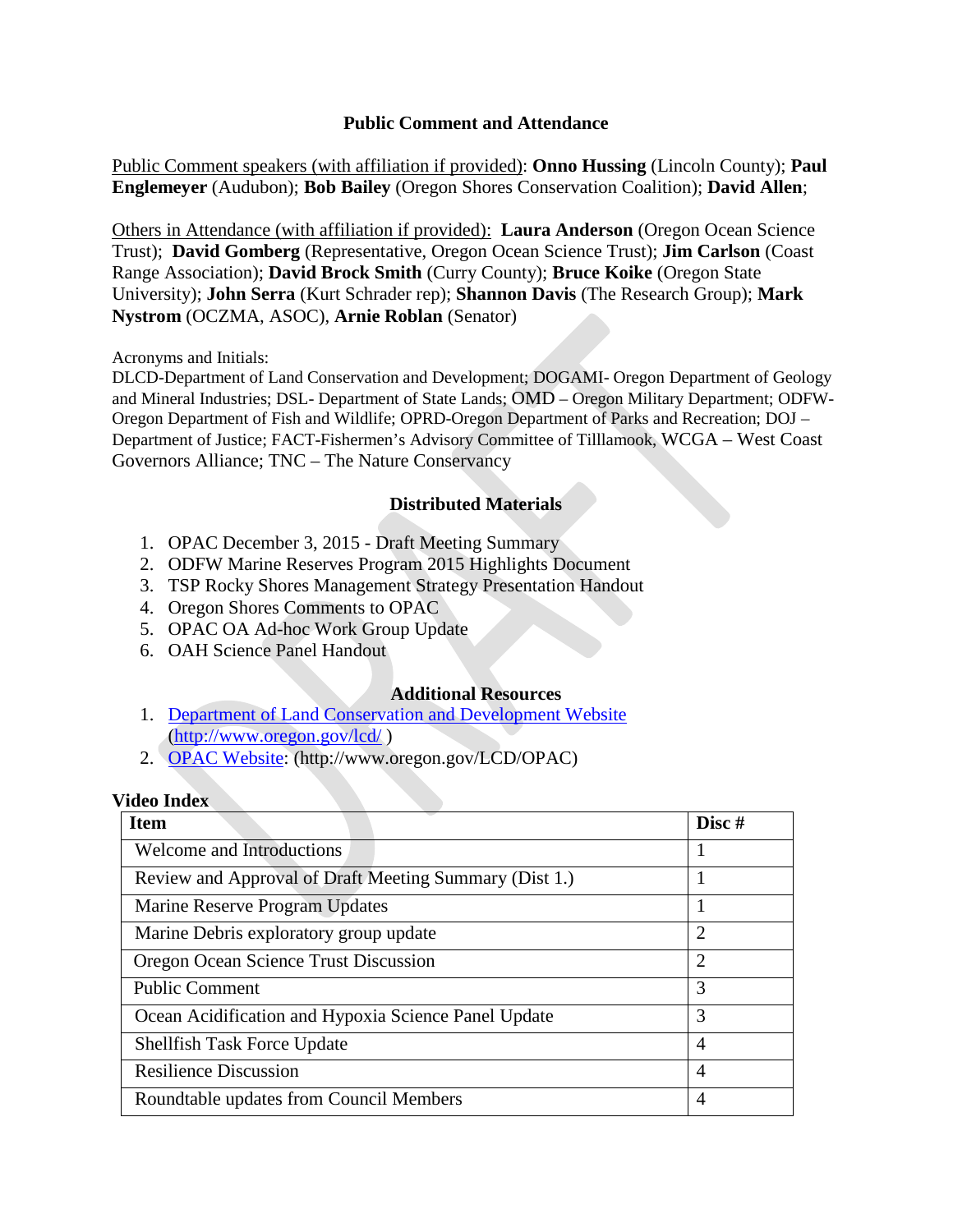## **Public Comment and Attendance**

Public Comment speakers (with affiliation if provided): **Onno Hussing** (Lincoln County); **Paul Englemeyer** (Audubon); **Bob Bailey** (Oregon Shores Conservation Coalition); **David Allen**;

Others in Attendance (with affiliation if provided): **Laura Anderson** (Oregon Ocean Science Trust); **David Gomberg** (Representative, Oregon Ocean Science Trust); **Jim Carlson** (Coast Range Association); **David Brock Smith** (Curry County); **Bruce Koike** (Oregon State University); **John Serra** (Kurt Schrader rep); **Shannon Davis** (The Research Group); **Mark Nystrom** (OCZMA, ASOC), **Arnie Roblan** (Senator)

Acronyms and Initials:

DLCD-Department of Land Conservation and Development; DOGAMI- Oregon Department of Geology and Mineral Industries; DSL- Department of State Lands; OMD – Oregon Military Department; ODFW-Oregon Department of Fish and Wildlife; OPRD-Oregon Department of Parks and Recreation; DOJ – Department of Justice; FACT-Fishermen's Advisory Committee of Tilllamook, WCGA – West Coast Governors Alliance; TNC – The Nature Conservancy

## **Distributed Materials**

- 1. OPAC December 3, 2015 Draft Meeting Summary
- 2. ODFW Marine Reserves Program 2015 Highlights Document
- 3. TSP Rocky Shores Management Strategy Presentation Handout
- 4. Oregon Shores Comments to OPAC
- 5. OPAC OA Ad-hoc Work Group Update
- 6. OAH Science Panel Handout

#### **Additional Resources**

- 1. [Department of Land Conservation and Development Website](http://www.oregon.gov/lcd/Pages/index.aspx) [\(http://www.oregon.gov/lcd/](http://www.oregon.gov/lcd/Pages/index.aspx) )
- 2. [OPAC Website:](http://www.oregon.gov/LCD/OPAC/pages/index.aspx) (http://www.oregon.gov/LCD/OPAC)

#### **Video Index**

| <b>Item</b>                                            | Disc#          |
|--------------------------------------------------------|----------------|
| Welcome and Introductions                              |                |
| Review and Approval of Draft Meeting Summary (Dist 1.) |                |
| Marine Reserve Program Updates                         |                |
| Marine Debris exploratory group update                 | $\overline{2}$ |
| Oregon Ocean Science Trust Discussion                  | $\overline{2}$ |
| <b>Public Comment</b>                                  | 3              |
| Ocean Acidification and Hypoxia Science Panel Update   | 3              |
| <b>Shellfish Task Force Update</b>                     | $\overline{4}$ |
| <b>Resilience Discussion</b>                           | $\overline{4}$ |
| Roundtable updates from Council Members                | 4              |